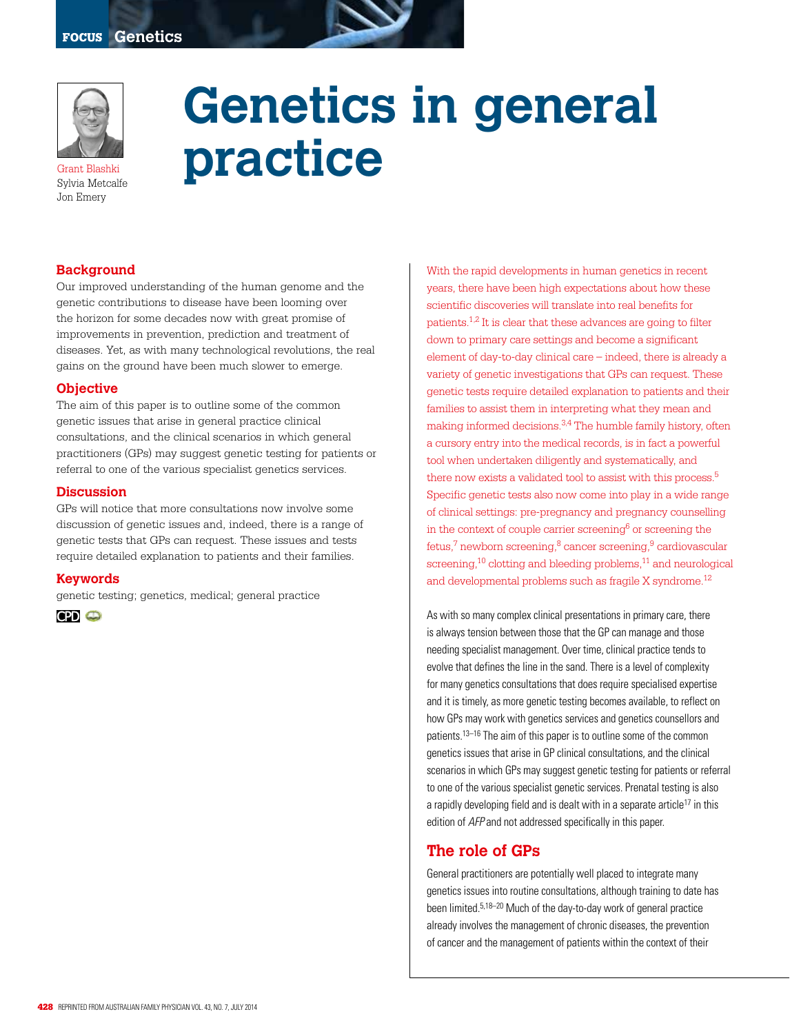

Sylvia Metcalfe Jon Emery

**Genetics in general practice**

### **Background**

Our improved understanding of the human genome and the genetic contributions to disease have been looming over the horizon for some decades now with great promise of improvements in prevention, prediction and treatment of diseases. Yet, as with many technological revolutions, the real gains on the ground have been much slower to emerge.

#### **Objective**

The aim of this paper is to outline some of the common genetic issues that arise in general practice clinical consultations, and the clinical scenarios in which general practitioners (GPs) may suggest genetic testing for patients or referral to one of the various specialist genetics services.

#### **Discussion**

GPs will notice that more consultations now involve some discussion of genetic issues and, indeed, there is a range of genetic tests that GPs can request. These issues and tests require detailed explanation to patients and their families.

#### **Keywords**

genetic testing; genetics, medical; general practice

**CPD @** 

With the rapid developments in human genetics in recent years, there have been high expectations about how these scientific discoveries will translate into real benefits for patients.1,2 It is clear that these advances are going to filter down to primary care settings and become a significant element of day-to-day clinical care – indeed, there is already a variety of genetic investigations that GPs can request. These genetic tests require detailed explanation to patients and their families to assist them in interpreting what they mean and making informed decisions.3,4 The humble family history, often a cursory entry into the medical records, is in fact a powerful tool when undertaken diligently and systematically, and there now exists a validated tool to assist with this process.<sup>5</sup> Specific genetic tests also now come into play in a wide range of clinical settings: pre-pregnancy and pregnancy counselling in the context of couple carrier screening $6$  or screening the fetus, $7$  newborn screening, $8$  cancer screening, $9$  cardiovascular screening,<sup>10</sup> clotting and bleeding problems,<sup>11</sup> and neurological and developmental problems such as fragile X syndrome.<sup>12</sup>

As with so many complex clinical presentations in primary care, there is always tension between those that the GP can manage and those needing specialist management. Over time, clinical practice tends to evolve that defines the line in the sand. There is a level of complexity for many genetics consultations that does require specialised expertise and it is timely, as more genetic testing becomes available, to reflect on how GPs may work with genetics services and genetics counsellors and patients.13–16 The aim of this paper is to outline some of the common genetics issues that arise in GP clinical consultations, and the clinical scenarios in which GPs may suggest genetic testing for patients or referral to one of the various specialist genetic services. Prenatal testing is also a rapidly developing field and is dealt with in a separate article<sup>17</sup> in this edition of AFP and not addressed specifically in this paper.

### **The role of GPs**

General practitioners are potentially well placed to integrate many genetics issues into routine consultations, although training to date has been limited.5,18–20 Much of the day-to-day work of general practice already involves the management of chronic diseases, the prevention of cancer and the management of patients within the context of their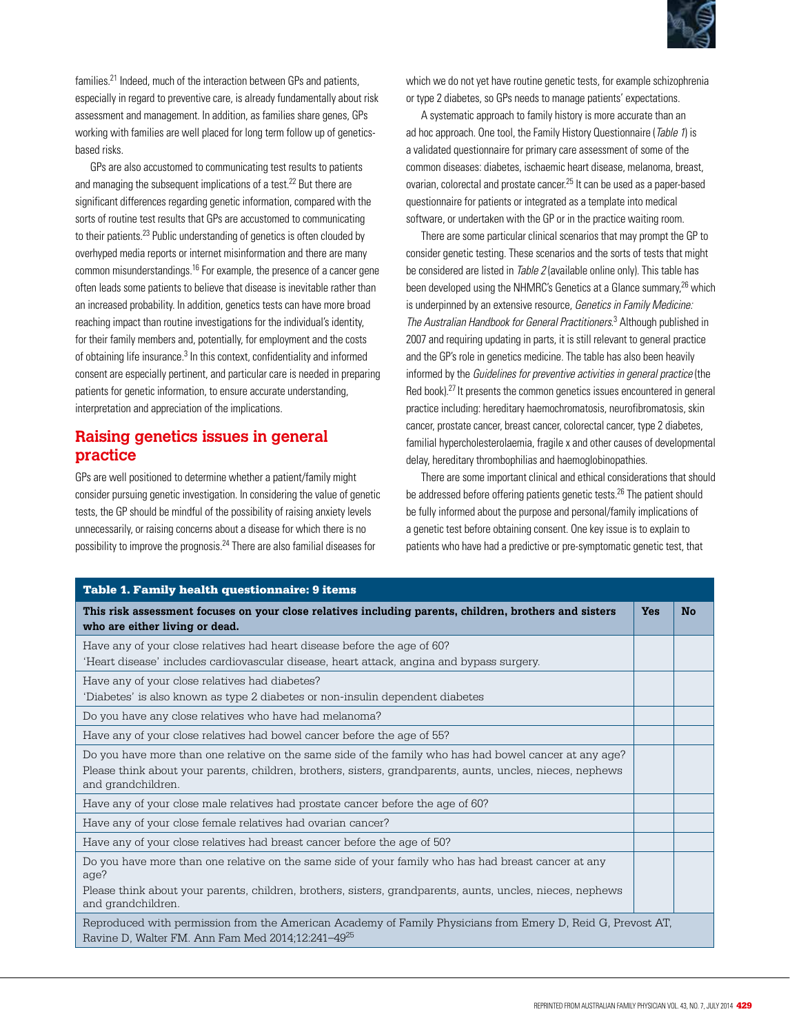

families.<sup>21</sup> Indeed, much of the interaction between GPs and patients especially in regard to preventive care, is already fundamentally about risk assessment and management. In addition, as families share genes, GPs working with families are well placed for long term follow up of geneticsbased risks.

GPs are also accustomed to communicating test results to patients and managing the subsequent implications of a test.<sup>22</sup> But there are significant differences regarding genetic information, compared with the sorts of routine test results that GPs are accustomed to communicating to their patients.23 Public understanding of genetics is often clouded by overhyped media reports or internet misinformation and there are many common misunderstandings.16 For example, the presence of a cancer gene often leads some patients to believe that disease is inevitable rather than an increased probability. In addition, genetics tests can have more broad reaching impact than routine investigations for the individual's identity, for their family members and, potentially, for employment and the costs of obtaining life insurance.<sup>3</sup> In this context, confidentiality and informed consent are especially pertinent, and particular care is needed in preparing patients for genetic information, to ensure accurate understanding, interpretation and appreciation of the implications.

## **Raising genetics issues in general practice**

GPs are well positioned to determine whether a patient/family might consider pursuing genetic investigation. In considering the value of genetic tests, the GP should be mindful of the possibility of raising anxiety levels unnecessarily, or raising concerns about a disease for which there is no possibility to improve the prognosis.24 There are also familial diseases for

which we do not yet have routine genetic tests, for example schizophrenia or type 2 diabetes, so GPs needs to manage patients' expectations.

A systematic approach to family history is more accurate than an ad hoc approach. One tool, the Family History Questionnaire (Table 1) is a validated questionnaire for primary care assessment of some of the common diseases: diabetes, ischaemic heart disease, melanoma, breast, ovarian, colorectal and prostate cancer.25 It can be used as a paper-based questionnaire for patients or integrated as a template into medical software, or undertaken with the GP or in the practice waiting room.

There are some particular clinical scenarios that may prompt the GP to consider genetic testing. These scenarios and the sorts of tests that might be considered are listed in *Table 2* (available online only). This table has been developed using the NHMRC's Genetics at a Glance summary,<sup>26</sup> which is underpinned by an extensive resource, Genetics in Family Medicine: The Australian Handbook for General Practitioners. 3 Although published in 2007 and requiring updating in parts, it is still relevant to general practice and the GP's role in genetics medicine. The table has also been heavily informed by the Guidelines for preventive activities in general practice (the Red book).<sup>27</sup> It presents the common genetics issues encountered in general practice including: hereditary haemochromatosis, neurofibromatosis, skin cancer, prostate cancer, breast cancer, colorectal cancer, type 2 diabetes, familial hypercholesterolaemia, fragile x and other causes of developmental delay, hereditary thrombophilias and haemoglobinopathies.

There are some important clinical and ethical considerations that should be addressed before offering patients genetic tests.<sup>26</sup> The patient should be fully informed about the purpose and personal/family implications of a genetic test before obtaining consent. One key issue is to explain to patients who have had a predictive or pre-symptomatic genetic test, that

| <b>Table 1. Family health questionnaire: 9 items</b>                                                                                                                         |            |           |
|------------------------------------------------------------------------------------------------------------------------------------------------------------------------------|------------|-----------|
| This risk assessment focuses on your close relatives including parents, children, brothers and sisters<br>who are either living or dead.                                     | <b>Yes</b> | <b>No</b> |
| Have any of your close relatives had heart disease before the age of 60?                                                                                                     |            |           |
| 'Heart disease' includes cardiovascular disease, heart attack, angina and bypass surgery.                                                                                    |            |           |
| Have any of your close relatives had diabetes?                                                                                                                               |            |           |
| 'Diabetes' is also known as type 2 diabetes or non-insulin dependent diabetes                                                                                                |            |           |
| Do you have any close relatives who have had melanoma?                                                                                                                       |            |           |
| Have any of your close relatives had bowel cancer before the age of 55?                                                                                                      |            |           |
| Do you have more than one relative on the same side of the family who has had bowel cancer at any age?                                                                       |            |           |
| Please think about your parents, children, brothers, sisters, grandparents, aunts, uncles, nieces, nephews<br>and grandchildren.                                             |            |           |
| Have any of your close male relatives had prostate cancer before the age of 60?                                                                                              |            |           |
| Have any of your close female relatives had ovarian cancer?                                                                                                                  |            |           |
| Have any of your close relatives had breast cancer before the age of 50?                                                                                                     |            |           |
| Do you have more than one relative on the same side of your family who has had breast cancer at any<br>age?                                                                  |            |           |
| Please think about your parents, children, brothers, sisters, grandparents, aunts, uncles, nieces, nephews<br>and grandchildren.                                             |            |           |
| Reproduced with permission from the American Academy of Family Physicians from Emery D, Reid G, Prevost AT,<br>Ravine D, Walter FM. Ann Fam Med 2014;12:241-49 <sup>25</sup> |            |           |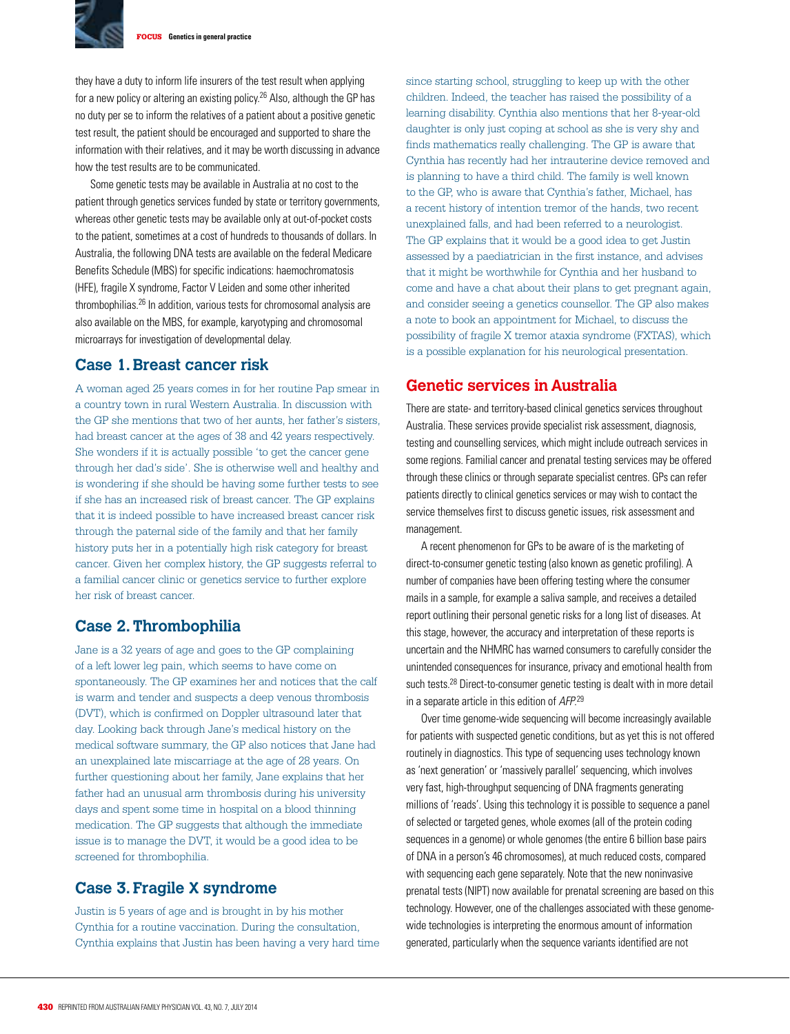

FOCUS **Genetics in general practice**

they have a duty to inform life insurers of the test result when applying for a new policy or altering an existing policy.26 Also, although the GP has no duty per se to inform the relatives of a patient about a positive genetic test result, the patient should be encouraged and supported to share the information with their relatives, and it may be worth discussing in advance how the test results are to be communicated.

Some genetic tests may be available in Australia at no cost to the patient through genetics services funded by state or territory governments, whereas other genetic tests may be available only at out-of-pocket costs to the patient, sometimes at a cost of hundreds to thousands of dollars. In Australia, the following DNA tests are available on the federal Medicare Benefits Schedule (MBS) for specific indications: haemochromatosis (HFE), fragile X syndrome, Factor V Leiden and some other inherited thrombophilias.26 In addition, various tests for chromosomal analysis are also available on the MBS, for example, karyotyping and chromosomal microarrays for investigation of developmental delay.

## **Case 1. Breast cancer risk**

A woman aged 25 years comes in for her routine Pap smear in a country town in rural Western Australia. In discussion with the GP she mentions that two of her aunts, her father's sisters, had breast cancer at the ages of 38 and 42 years respectively. She wonders if it is actually possible 'to get the cancer gene through her dad's side'. She is otherwise well and healthy and is wondering if she should be having some further tests to see if she has an increased risk of breast cancer. The GP explains that it is indeed possible to have increased breast cancer risk through the paternal side of the family and that her family history puts her in a potentially high risk category for breast cancer. Given her complex history, the GP suggests referral to a familial cancer clinic or genetics service to further explore her risk of breast cancer.

## **Case 2. Thrombophilia**

Jane is a 32 years of age and goes to the GP complaining of a left lower leg pain, which seems to have come on spontaneously. The GP examines her and notices that the calf is warm and tender and suspects a deep venous thrombosis (DVT), which is confirmed on Doppler ultrasound later that day. Looking back through Jane's medical history on the medical software summary, the GP also notices that Jane had an unexplained late miscarriage at the age of 28 years. On further questioning about her family, Jane explains that her father had an unusual arm thrombosis during his university days and spent some time in hospital on a blood thinning medication. The GP suggests that although the immediate issue is to manage the DVT, it would be a good idea to be screened for thrombophilia.

## **Case 3. Fragile X syndrome**

Justin is 5 years of age and is brought in by his mother Cynthia for a routine vaccination. During the consultation, Cynthia explains that Justin has been having a very hard time since starting school, struggling to keep up with the other children. Indeed, the teacher has raised the possibility of a learning disability. Cynthia also mentions that her 8-year-old daughter is only just coping at school as she is very shy and finds mathematics really challenging. The GP is aware that Cynthia has recently had her intrauterine device removed and is planning to have a third child. The family is well known to the GP, who is aware that Cynthia's father, Michael, has a recent history of intention tremor of the hands, two recent unexplained falls, and had been referred to a neurologist. The GP explains that it would be a good idea to get Justin assessed by a paediatrician in the first instance, and advises that it might be worthwhile for Cynthia and her husband to come and have a chat about their plans to get pregnant again, and consider seeing a genetics counsellor. The GP also makes a note to book an appointment for Michael, to discuss the possibility of fragile X tremor ataxia syndrome (FXTAS), which is a possible explanation for his neurological presentation.

# **Genetic services in Australia**

There are state- and territory-based clinical genetics services throughout Australia. These services provide specialist risk assessment, diagnosis, testing and counselling services, which might include outreach services in some regions. Familial cancer and prenatal testing services may be offered through these clinics or through separate specialist centres. GPs can refer patients directly to clinical genetics services or may wish to contact the service themselves first to discuss genetic issues, risk assessment and management.

A recent phenomenon for GPs to be aware of is the marketing of direct-to-consumer genetic testing (also known as genetic profiling). A number of companies have been offering testing where the consumer mails in a sample, for example a saliva sample, and receives a detailed report outlining their personal genetic risks for a long list of diseases. At this stage, however, the accuracy and interpretation of these reports is uncertain and the NHMRC has warned consumers to carefully consider the unintended consequences for insurance, privacy and emotional health from such tests.<sup>28</sup> Direct-to-consumer genetic testing is dealt with in more detail in a separate article in this edition of AFP.<sup>29</sup>

Over time genome-wide sequencing will become increasingly available for patients with suspected genetic conditions, but as yet this is not offered routinely in diagnostics. This type of sequencing uses technology known as 'next generation' or 'massively parallel' sequencing, which involves very fast, high-throughput sequencing of DNA fragments generating millions of 'reads'. Using this technology it is possible to sequence a panel of selected or targeted genes, whole exomes (all of the protein coding sequences in a genome) or whole genomes (the entire 6 billion base pairs of DNA in a person's 46 chromosomes), at much reduced costs, compared with sequencing each gene separately. Note that the new noninvasive prenatal tests (NIPT) now available for prenatal screening are based on this technology. However, one of the challenges associated with these genomewide technologies is interpreting the enormous amount of information generated, particularly when the sequence variants identified are not